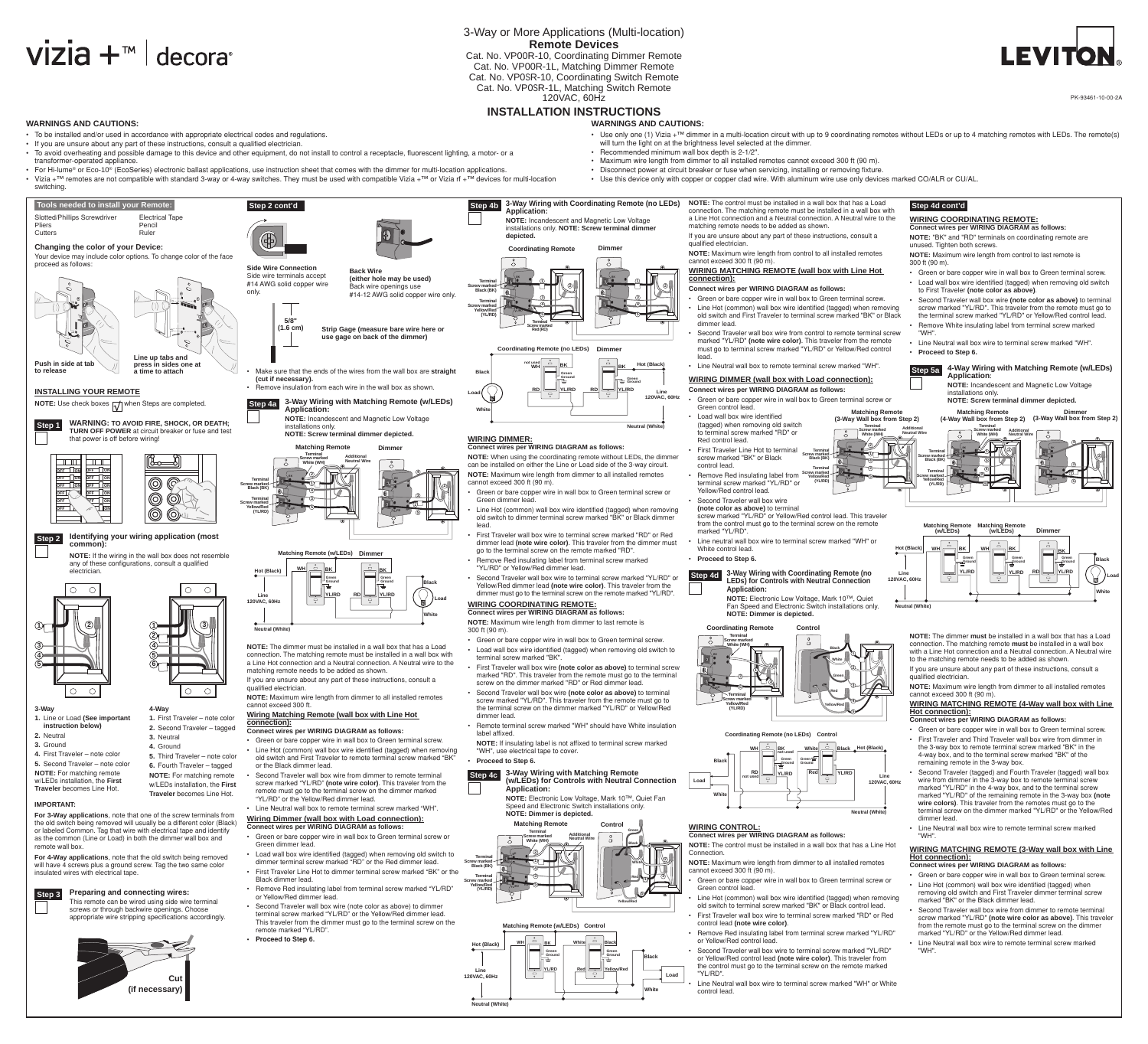### 3-Way or More Applications (Multi-location) **Remote Devices**

Cat. No. VP00R-10, Coordinating Dimmer Remote Cat. No. VP00R-1L, Matching Dimmer Remote Cat. No. VP0SR-10, Coordinating Switch Remote Cat. No. VP0SR-1L, Matching Switch Remote

# $Vizia +<sup>m</sup>$  decora

• To be installed and/or used in accordance with appropriate electrical codes and regulations. • If you are unsure about any part of these instructions, consult a qualified electrician.

### 120VAC, 60Hz

**WARNINGS AND CAUTIONS:**

• To avoid overheating and possible damage to this device and other equipment, do not install to control a receptacle, fluorescent lighting, a motor- or a

#### **INSTALLATION INSTRUCTIONS WARNINGS AND CAUTIONS:**

transformer-operated appliance.

switching.

- - will turn the light on at the brightness level selected at the dimmer.
	- • Recommended minimum wall box depth is 2-1/2".
	- • Maximum wire length from dimmer to all installed remotes cannot exceed 300 ft (90 m). • Disconnect power at circuit breaker or fuse when servicing, installing or removing fixture.
	-

**4**

**1**

**5 3**





**3-Way**

- **1.** Line or Load **(See important instruction below) 2.** Neutral
- **3.** Ground
- **4.** First Traveler note color **5.** Second Traveler – note color **NOTE:** For matching remote w/LEDs installation, the **First Traveler** becomes Line Hot.

 **Step 2**

#### **IMPORTANT:**

**For 3-Way applications**, note that one of the screw terminals from the old switch being removed will usually be a different color (Black) or labeled Common. Tag that wire with electrical tape and identify as the common (Line or Load) in both the dimmer wall box and remote wall box.

**For 4-Way applications**, note that the old switch being removed will have 4 screws plus a ground screw. Tag the two same color insulated wires with electrical tape.

cannot exceed 300 ft.

• For Hi-lume® or Eco-10® (EcoSeries) electronic ballast applications, use instruction sheet that comes with the dimmer for multi-location applications. • Use this device only with copper or copper clad wire. With aluminum wire use only devices marked CO/ALR or CU/AL. • Vizia +™ remotes are not compatible with standard 3-way or 4-way switches. They must be used with compatible Vizia +™ or Vizia rf +™ devices for multi-location **3-Way Wiring with Coordinating Remote (no LEDs) NOTE:** The control must be installed in a wall box that has a Load  **Tools needed to install your Remote: Step 2 cont'd Step 4b Step 4d cont'd Application:** connection. The matching remote must be installed in a wall box with Slotted/Phillips Screwdriver<br>
Pencil<br>
Pencil a Line Hot connection and a Neutral connection. A Neutral wire to the **NOTE:** Incandescent and Magnetic Low Voltage Pencil matching remote needs to be added as shown. installations only. **NOTE: Screw terminal dimmer**  Cutters **Ruler** Ruler If you are unsure about any part of these instructions, consult a **depicted.** \$ qualified electrician. **Changing the color of your Device: Coordinating Remote Dimmer NOTE:** Maximum wire length from control to all installed remotes Your device may include color options. To change color of the face cannot exceed 300 ft (90 m) 300 ft (90 m). proceed as follows: **Side Wire Connection WIRING MATCHING REMOTE (wall box with Line Hot Back Wire** Side wire terminals accept **(either hole may be used) Bk Bk connection):** #14 AWG solid copper wire **Terminal 1 1** Back wire openings use **Connect wires per WIRING DIAGRAM as follows: Screw marked 2 2 Black (Bk)** only. #14-12 AWG solid copper wire only. • Green or bare copper wire in wall box to Green terminal screw. **3 3 Terminal** • Line Hot (common) wall box wire identified (tagged) when removing **4 4 Screw marked RD YL/R<sup>D</sup> RD YL/R<sup>D</sup> Yellow/Red** old switch and First Traveler to terminal screw marked "BK" or Black **(YL/RD) 5 5 5/8" Terminal Screw marked** dimmer lead. **(1.6 cm) Strip Gage (measure bare wire here or Red (RD)** Second Traveler wall box wire from control to remote terminal screw "WH". **use gage on back of the dimmer)** marked "YL/RD" **(note wire color)**. This traveler from the remote **Coordinating Remote (no LEDs) Dimmer** must go to terminal screw marked "YL/RD" or Yellow/Red control • **Proceed to Step 6. Line up tabs and**  lead. **press in sides one at Push in side at tab not used hot (Black)** • Line Neutral wall box to remote terminal screw marked "WH". **Bk Bk Wh Step 5a** Make sure that the ends of the wires from the wall box are straight **a time to attach Black Green (cut if necessary). WIRING DIMMER (wall box with Load connection): Ground Green Ground** • Remove insulation from each wire in the wall box as shown **Connect wires per WIRING DIAGRAM as follows: RD YL/RD YL/RD RD INSTALLING YOUR REMOTE Line 120vAC, 60hz Load** • Green or bare copper wire in wall box to Green terminal screw or **3-Way Wiring with Matching Remote (w/LEDs) NOTE:** Use check boxes  $\sqrt{\sqrt{ }}$  when Steps are completed.  **Step 4a** Green control lead. **Application: White Matching Remote NOTE:** Incandescent and Magnetic Low Voltage • Load wall box wire identified **(3-Way Wall box from Step 2) Step 1 WARNING: To avoid fire, shock, or death; Neutral (White)** (tagged) when removing old switch installations only. **Terminal TURN OFF POWER** at circuit breaker or fuse and test **Additional** to terminal screw marked "RD" or **Screw marked NOTE: Screw terminal dimmer depicted. Neutral Wire White (Wh) WIRING DIMMER:** that power is off before wiring! Red control lead. **Connect wires per WIRING DIAGRAM as follows: Matching Remote Dimmer 2 First Traveler Line Hot to terminal Bk Bk Terminal Terminal Terminal NOTE:** When using the coordinating remote without LEDs, the dimmer **1** screw marked "BK" or Black **Screw marked Screw marked Additional Screw marked Black (Bk)**  $\top$  T III  $\Box$ **Black (Bk) Neutral Wire 4 White (Wh)** can be installed on either the Line or Load side of the 3-way circuit. control lead. **DFF** 10N **DFF** *DR* **Terminal 4 NOTE:** Maximum wire length from dimmer to all installed remotes Remove Red insulating label from **Terminal Screw marked Yellow/Red 2 Screw marked Bk 5 DFF** | ON<br> **DFF** | ON<br>
OFF | ON **RD YL/R<sup>D</sup>** 0FF | <u>ION</u><br>0FF | ON<br>0FF | / N ⊚ **Terminal Bk RD YL/R<sup>D</sup> (YL/RD) Yellow/Red** cannot exceed 300 ft (90 m). terminal screw marked "YL/RD" or **Screw marked Black (Bk) 1 (YL/RD) 2 4** Green or bare copper wire in wall box to Green terminal screw or Yellow/Red control lead. © © **3 DEF**<br>**DEF**<br>OFF • Second Traveler wall box wire **Terminal 3** Green dimmer lead. *AEE ON* **Screw marked 1 Yellow/Red 5** Line Hot (common) wall box wire identified (tagged) when removing **(note color as above)** to terminal **RD YL/R<sup>D</sup>** *DFF* **|**  $\uparrow$  **/ / | ON** © © **RD YL/R<sup>D</sup> (YL/RD) 5** screw marked "YL/RD" or Yellow/Red control lead. This traveler old switch to dimmer terminal screw marked "BK" or Black dimmer from the control must go to the terminal screw on the remote lead. marked "YL/RD". First Traveler wall box wire to terminal screw marked "RD" or Red **Identifying your wiring application (most**  dimmer lead **(note wire color)**. This traveler from the dimmer must Line neutral wall box wire to terminal screw marked "WH" or **common):** go to the terminal screw on the remote marked "RD". White control lead. **hot (Black) Matching Remote (w/LEDs) Dimmer NOTE:** If the wiring in the wall box does not resemble • **Proceed to Step 6.** Remove Red insulating label from terminal screw marked **Green** any of these configurations, consult a qualified "YL/RD" or Yellow/Red dimmer lead. **hot (Black) Wh Bk Bk** lectriciar **3-Way Wiring with Coordinating Remote (no Step 4d Line**  • Second Traveler wall box wire to terminal screw marked "YL/RD" or **120vAC, 60hz**  $\overline{\phantom{a}}$ **Green Green**<br>Ground **Ground LEDs) for Controls with Neutral Connection Ground Black** Yellow/Red dimmer lead **(note wire color)**. This traveler from the  $\bigcap$  $\bigcap$  $\bigcirc$  $\bigcap$ **Application:** dimmer must go to the terminal screw on the remote marked "YL/RD". **YL/RD RD YL/RD Line 120vAC, 60hz NOTE:** Electronic Low Voltage, Mark 10™, Quiet **Load**  $\overline{\phantom{a}}$ **WIRING COORDINATING REMOTE: Neutral (White)** Fan Speed and Electronic Switch installations only. **Connect wires per WIRING DIAGRAM as follows: NOTE: Dimmer is depicted. White NOTE:** Maximum wire length from dimmer to last remote is **3 2 1 Coordinating Remote Control Neutral (White)** 300 ft (90 m). **2 Terminal** • Green or bare copper wire in wall box to Green terminal screw. **Screw marked 4 NOTE:** The dimmer must be installed in a wall box that has a Load **White (WH)** • Load wall box wire identified (tagged) when removing old switch to **Black** connection. The matching remote must be installed in a wall box with **1 5** terminal screw marked "BK". **BK** a Line Hot connection and a Neutral connection. A Neutral wire to the **White 6** First Traveler wall box wire (note color as above) to terminal screw **2** matching remote needs to be added as shown. **2 1** marked "RD". This traveler from the remote must go to the terminal qualified electrician. **3 Green** If you are unsure about any part of these instructions, consult a screw on the dimmer marked "RD" or Red dimmer lead. **4 3** qualified electrician. **RD 5**  $\bigcirc$  $\circ$  $\bigcirc$  $\bigcirc$ • Second Traveler wall box wire **(note color as above)** to terminal **Red NOTE:** Maximum wire length from dimmer to all installed remotes **Terminal** screw marked "YL/RD". This traveler from the remote must go to **Screw marked 4 Yellow/Red Yellow/Red 4-Way** the terminal screw on the dimmer marked "YL/RD" or Yellow/Red

#### **Wiring Matching Remote (wall box with Line Hot connection):**

- **Connect wires per WIRING DIAGRAM as follows:**
- • Green or bare copper wire in wall box to Green terminal screw. • Line Hot (common) wall box wire identified (tagged) when removing old switch and First Traveler to remote terminal screw marked "BK"
- or the Black dimmer lead. Second Traveler wall box wire from dimmer to remote terminal
- screw marked "YL/RD" **(note wire color)**. This traveler from the remote must go to the terminal screw on the dimmer marked
- "YL/RD" or the Yellow/Red dimmer lead.
- Line Neutral wall box to remote terminal screw marked "WH". **Wiring Dimmer (wall box with Load connection):**
- **Connect wires per WIRING DIAGRAM as follows:**
- Green or bare copper wire in wall box to Green terminal screw or
- Green dimmer lead. • Load wall box wire identified (tagged) when removing old switch to dimmer terminal screw marked "RD" or the Red dimmer lead.
- First Traveler Line Hot to dimmer Black dimmer lead.
- • Remove Red insulating label from terminal screw marked "YL/RD" or Yellow/Red dimmer lead.
- • Second Traveler wall box wire (note color as above) to dimmer terminal screw marked "YL/RD" or the Yellow/Red dimmer lead. This traveler from the dimmer must go to the terminal screw on the remote marked "YL/RD".
- **• Proceed to Step 6.**

**Cut (if necessary)**

**Preparing and connecting wires:** This remote can be wired using side wire terminal screws or through backwire openings. Choose

appropriate wire stripping specifications accordingly.

## **Step 3**

• Use only one (1) Vizia +™ dimmer in a multi-location circuit with up to 9 coordinating remotes without LEDs or up to 4 matching remotes with LEDs. The remote(s)

**to release**



label affixed.

**NOTE:** If insulating label is not affixed to terminal screw marked "WH", use electrical tape to cover.

- • Remote terminal screw marked "WH" should have White insulation
- 
- **3-Way Wiring with Matching Remote**
- 
- **(w/LEDs) for Controls with Neutral Connection NOTE:** Electronic Low Voltage, Mark 10™, Quiet Fan



## • **Proceed to Step 6.**

 **Step 4c**



**5**







**Neutral (White)**



- cannot exceed 300 ft (90 m).
- 
- 
- 
- 
- control lead.